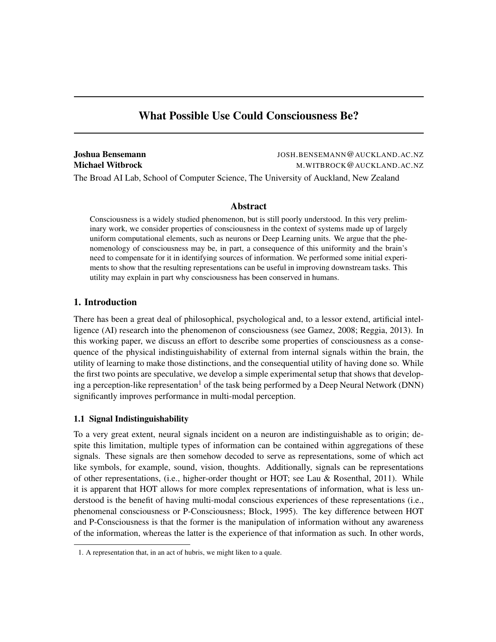# What Possible Use Could Consciousness Be?

| Joshua Bensemann                                                                      | JOSH.BENSEMANN@AUCKLAND.AC.NZ |
|---------------------------------------------------------------------------------------|-------------------------------|
| Michael Witbrock                                                                      | M.WITBROCK@AUCKLAND.AC.NZ     |
| The Broad AI Lab, School of Computer Science, The University of Auckland, New Zealand |                               |

# Abstract

Consciousness is a widely studied phenomenon, but is still poorly understood. In this very preliminary work, we consider properties of consciousness in the context of systems made up of largely uniform computational elements, such as neurons or Deep Learning units. We argue that the phenomenology of consciousness may be, in part, a consequence of this uniformity and the brain's need to compensate for it in identifying sources of information. We performed some initial experiments to show that the resulting representations can be useful in improving downstream tasks. This utility may explain in part why consciousness has been conserved in humans.

# 1. Introduction

There has been a great deal of philosophical, psychological and, to a lessor extend, artificial intelligence (AI) research into the phenomenon of consciousness (see Gamez, 2008; Reggia, 2013). In this working paper, we discuss an effort to describe some properties of consciousness as a consequence of the physical indistinguishability of external from internal signals within the brain, the utility of learning to make those distinctions, and the consequential utility of having done so. While the first two points are speculative, we develop a simple experimental setup that shows that developing a perception-like representation<sup>1</sup> of the task being performed by a Deep Neural Network (DNN) significantly improves performance in multi-modal perception.

# 1.1 Signal Indistinguishability

To a very great extent, neural signals incident on a neuron are indistinguishable as to origin; despite this limitation, multiple types of information can be contained within aggregations of these signals. These signals are then somehow decoded to serve as representations, some of which act like symbols, for example, sound, vision, thoughts. Additionally, signals can be representations of other representations, (i.e., higher-order thought or HOT; see Lau & Rosenthal, 2011). While it is apparent that HOT allows for more complex representations of information, what is less understood is the benefit of having multi-modal conscious experiences of these representations (i.e., phenomenal consciousness or P-Consciousness; Block, 1995). The key difference between HOT and P-Consciousness is that the former is the manipulation of information without any awareness of the information, whereas the latter is the experience of that information as such. In other words,

<sup>1.</sup> A representation that, in an act of hubris, we might liken to a quale.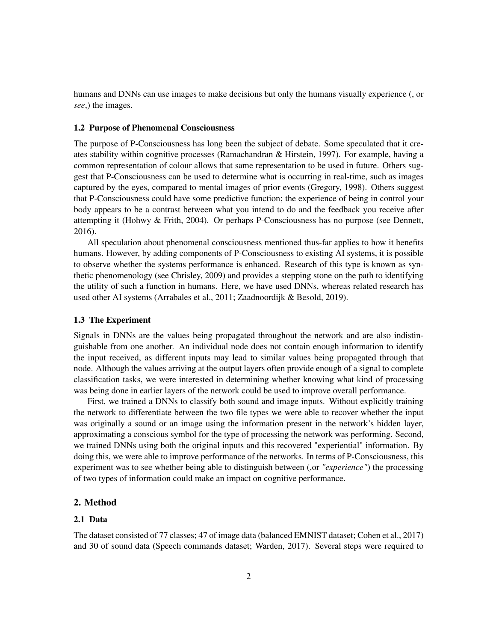humans and DNNs can use images to make decisions but only the humans visually experience (, or *see*,) the images.

#### 1.2 Purpose of Phenomenal Consciousness

The purpose of P-Consciousness has long been the subject of debate. Some speculated that it creates stability within cognitive processes (Ramachandran & Hirstein, 1997). For example, having a common representation of colour allows that same representation to be used in future. Others suggest that P-Consciousness can be used to determine what is occurring in real-time, such as images captured by the eyes, compared to mental images of prior events (Gregory, 1998). Others suggest that P-Consciousness could have some predictive function; the experience of being in control your body appears to be a contrast between what you intend to do and the feedback you receive after attempting it (Hohwy & Frith, 2004). Or perhaps P-Consciousness has no purpose (see Dennett, 2016).

All speculation about phenomenal consciousness mentioned thus-far applies to how it benefits humans. However, by adding components of P-Consciousness to existing AI systems, it is possible to observe whether the systems performance is enhanced. Research of this type is known as synthetic phenomenology (see Chrisley, 2009) and provides a stepping stone on the path to identifying the utility of such a function in humans. Here, we have used DNNs, whereas related research has used other AI systems (Arrabales et al., 2011; Zaadnoordijk & Besold, 2019).

## 1.3 The Experiment

Signals in DNNs are the values being propagated throughout the network and are also indistinguishable from one another. An individual node does not contain enough information to identify the input received, as different inputs may lead to similar values being propagated through that node. Although the values arriving at the output layers often provide enough of a signal to complete classification tasks, we were interested in determining whether knowing what kind of processing was being done in earlier layers of the network could be used to improve overall performance.

First, we trained a DNNs to classify both sound and image inputs. Without explicitly training the network to differentiate between the two file types we were able to recover whether the input was originally a sound or an image using the information present in the network's hidden layer, approximating a conscious symbol for the type of processing the network was performing. Second, we trained DNNs using both the original inputs and this recovered "experiential" information. By doing this, we were able to improve performance of the networks. In terms of P-Consciousness, this experiment was to see whether being able to distinguish between (,or *"experience"*) the processing of two types of information could make an impact on cognitive performance.

#### 2. Method

#### 2.1 Data

The dataset consisted of 77 classes; 47 of image data (balanced EMNIST dataset; Cohen et al., 2017) and 30 of sound data (Speech commands dataset; Warden, 2017). Several steps were required to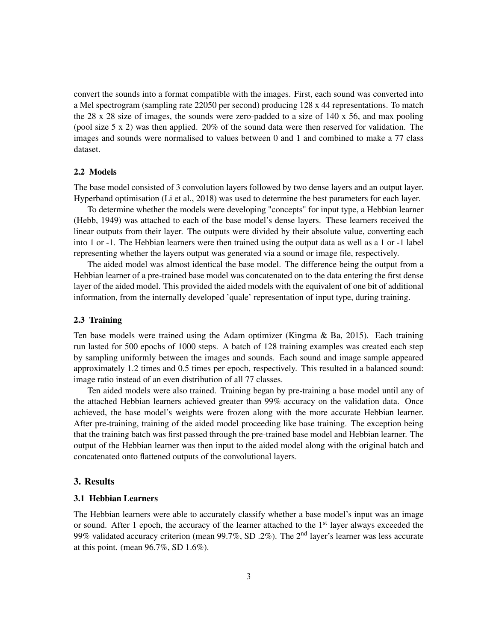convert the sounds into a format compatible with the images. First, each sound was converted into a Mel spectrogram (sampling rate 22050 per second) producing 128 x 44 representations. To match the 28 x 28 size of images, the sounds were zero-padded to a size of  $140 \times 56$ , and max pooling (pool size 5 x 2) was then applied. 20% of the sound data were then reserved for validation. The images and sounds were normalised to values between 0 and 1 and combined to make a 77 class dataset.

## 2.2 Models

The base model consisted of 3 convolution layers followed by two dense layers and an output layer. Hyperband optimisation (Li et al., 2018) was used to determine the best parameters for each layer.

To determine whether the models were developing "concepts" for input type, a Hebbian learner (Hebb, 1949) was attached to each of the base model's dense layers. These learners received the linear outputs from their layer. The outputs were divided by their absolute value, converting each into 1 or -1. The Hebbian learners were then trained using the output data as well as a 1 or -1 label representing whether the layers output was generated via a sound or image file, respectively.

The aided model was almost identical the base model. The difference being the output from a Hebbian learner of a pre-trained base model was concatenated on to the data entering the first dense layer of the aided model. This provided the aided models with the equivalent of one bit of additional information, from the internally developed 'quale' representation of input type, during training.

#### 2.3 Training

Ten base models were trained using the Adam optimizer (Kingma & Ba, 2015). Each training run lasted for 500 epochs of 1000 steps. A batch of 128 training examples was created each step by sampling uniformly between the images and sounds. Each sound and image sample appeared approximately 1.2 times and 0.5 times per epoch, respectively. This resulted in a balanced sound: image ratio instead of an even distribution of all 77 classes.

Ten aided models were also trained. Training began by pre-training a base model until any of the attached Hebbian learners achieved greater than 99% accuracy on the validation data. Once achieved, the base model's weights were frozen along with the more accurate Hebbian learner. After pre-training, training of the aided model proceeding like base training. The exception being that the training batch was first passed through the pre-trained base model and Hebbian learner. The output of the Hebbian learner was then input to the aided model along with the original batch and concatenated onto flattened outputs of the convolutional layers.

#### 3. Results

## 3.1 Hebbian Learners

The Hebbian learners were able to accurately classify whether a base model's input was an image or sound. After 1 epoch, the accuracy of the learner attached to the  $1<sup>st</sup>$  layer always exceeded the 99% validated accuracy criterion (mean 99.7%, SD .2%). The 2nd layer's learner was less accurate at this point. (mean 96.7%, SD 1.6%).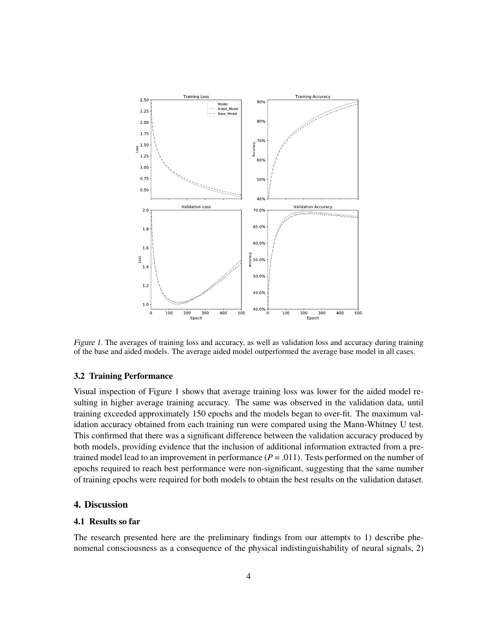

Figure 1. The averages of training loss and accuracy, as well as validation loss and accuracy during training of the base and aided models. The average aided model outperformed the average base model in all cases.

#### 3.2 Training Performance

Visual inspection of Figure 1 shows that average training loss was lower for the aided model resulting in higher average training accuracy. The same was observed in the validation data, until training exceeded approximately 150 epochs and the models began to over-fit. The maximum validation accuracy obtained from each training run were compared using the Mann-Whitney U test. This confirmed that there was a significant difference between the validation accuracy produced by both models, providing evidence that the inclusion of additional information extracted from a pretrained model lead to an improvement in performance  $(P = .011)$ . Tests performed on the number of epochs required to reach best performance were non-significant, suggesting that the same number of training epochs were required for both models to obtain the best results on the validation dataset.

#### 4. Discussion

#### 4.1 Results so far

The research presented here are the preliminary findings from our attempts to 1) describe phenomenal consciousness as a consequence of the physical indistinguishability of neural signals, 2)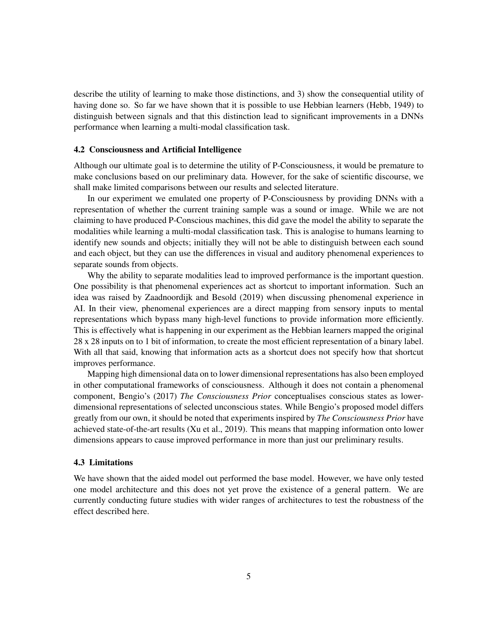describe the utility of learning to make those distinctions, and 3) show the consequential utility of having done so. So far we have shown that it is possible to use Hebbian learners (Hebb, 1949) to distinguish between signals and that this distinction lead to significant improvements in a DNNs performance when learning a multi-modal classification task.

#### 4.2 Consciousness and Artificial Intelligence

Although our ultimate goal is to determine the utility of P-Consciousness, it would be premature to make conclusions based on our preliminary data. However, for the sake of scientific discourse, we shall make limited comparisons between our results and selected literature.

In our experiment we emulated one property of P-Consciousness by providing DNNs with a representation of whether the current training sample was a sound or image. While we are not claiming to have produced P-Conscious machines, this did gave the model the ability to separate the modalities while learning a multi-modal classification task. This is analogise to humans learning to identify new sounds and objects; initially they will not be able to distinguish between each sound and each object, but they can use the differences in visual and auditory phenomenal experiences to separate sounds from objects.

Why the ability to separate modalities lead to improved performance is the important question. One possibility is that phenomenal experiences act as shortcut to important information. Such an idea was raised by Zaadnoordijk and Besold (2019) when discussing phenomenal experience in AI. In their view, phenomenal experiences are a direct mapping from sensory inputs to mental representations which bypass many high-level functions to provide information more efficiently. This is effectively what is happening in our experiment as the Hebbian learners mapped the original 28 x 28 inputs on to 1 bit of information, to create the most efficient representation of a binary label. With all that said, knowing that information acts as a shortcut does not specify how that shortcut improves performance.

Mapping high dimensional data on to lower dimensional representations has also been employed in other computational frameworks of consciousness. Although it does not contain a phenomenal component, Bengio's (2017) *The Consciousness Prior* conceptualises conscious states as lowerdimensional representations of selected unconscious states. While Bengio's proposed model differs greatly from our own, it should be noted that experiments inspired by *The Consciousness Prior* have achieved state-of-the-art results (Xu et al., 2019). This means that mapping information onto lower dimensions appears to cause improved performance in more than just our preliminary results.

#### 4.3 Limitations

We have shown that the aided model out performed the base model. However, we have only tested one model architecture and this does not yet prove the existence of a general pattern. We are currently conducting future studies with wider ranges of architectures to test the robustness of the effect described here.